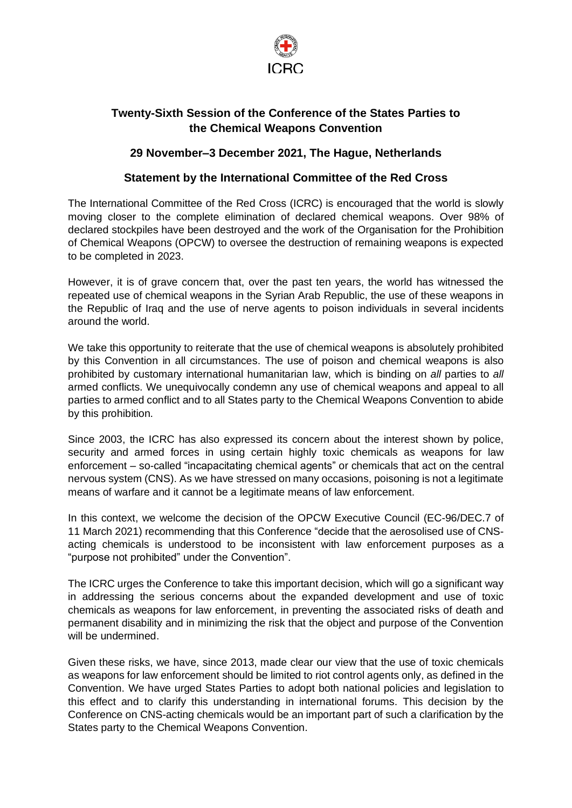

## **Twenty-Sixth Session of the Conference of the States Parties to the Chemical Weapons Convention**

## **29 November–3 December 2021, The Hague, Netherlands**

## **Statement by the International Committee of the Red Cross**

The International Committee of the Red Cross (ICRC) is encouraged that the world is slowly moving closer to the complete elimination of declared chemical weapons. Over 98% of declared stockpiles have been destroyed and the work of the Organisation for the Prohibition of Chemical Weapons (OPCW) to oversee the destruction of remaining weapons is expected to be completed in 2023.

However, it is of grave concern that, over the past ten years, the world has witnessed the repeated use of chemical weapons in the Syrian Arab Republic, the use of these weapons in the Republic of Iraq and the use of nerve agents to poison individuals in several incidents around the world.

We take this opportunity to reiterate that the use of chemical weapons is absolutely prohibited by this Convention in all circumstances. The use of poison and chemical weapons is also prohibited by customary international humanitarian law, which is binding on *all* parties to *all* armed conflicts. We unequivocally condemn any use of chemical weapons and appeal to all parties to armed conflict and to all States party to the Chemical Weapons Convention to abide by this prohibition.

Since 2003, the ICRC has also expressed its concern about the interest shown by police, security and armed forces in using certain highly toxic chemicals as weapons for law enforcement – so-called "incapacitating chemical agents" or chemicals that act on the central nervous system (CNS). As we have stressed on many occasions, poisoning is not a legitimate means of warfare and it cannot be a legitimate means of law enforcement.

In this context, we welcome the decision of the OPCW Executive Council (EC-96/DEC.7 of 11 March 2021) recommending that this Conference "decide that the aerosolised use of CNSacting chemicals is understood to be inconsistent with law enforcement purposes as a "purpose not prohibited" under the Convention".

The ICRC urges the Conference to take this important decision, which will go a significant way in addressing the serious concerns about the expanded development and use of toxic chemicals as weapons for law enforcement, in preventing the associated risks of death and permanent disability and in minimizing the risk that the object and purpose of the Convention will be undermined.

Given these risks, we have, since 2013, made clear our view that the use of toxic chemicals as weapons for law enforcement should be limited to riot control agents only, as defined in the Convention. We have urged States Parties to adopt both national policies and legislation to this effect and to clarify this understanding in international forums. This decision by the Conference on CNS-acting chemicals would be an important part of such a clarification by the States party to the Chemical Weapons Convention.